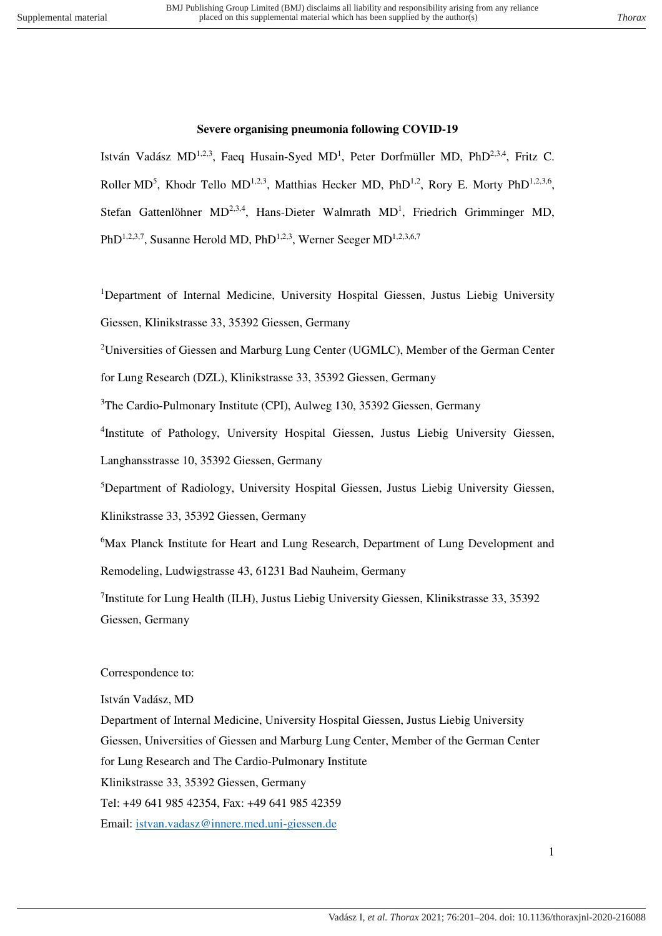### **Severe organising pneumonia following COVID-19**

István Vadász MD<sup>1,2,3</sup>, Faeq Husain-Syed MD<sup>1</sup>, Peter Dorfmüller MD, PhD<sup>2,3,4</sup>, Fritz C. Roller MD<sup>5</sup>, Khodr Tello MD<sup>1,2,3</sup>, Matthias Hecker MD, PhD<sup>1,2</sup>, Rory E. Morty PhD<sup>1,2,3,6</sup>, Stefan Gattenlöhner  $MD^{2,3,4}$ , Hans-Dieter Walmrath  $MD<sup>1</sup>$ , Friedrich Grimminger MD, PhD<sup>1,2,3,7</sup>, Susanne Herold MD, PhD<sup>1,2,3</sup>, Werner Seeger MD<sup>1,2,3,6,7</sup>

<sup>1</sup>Department of Internal Medicine, University Hospital Giessen, Justus Liebig University Giessen, Klinikstrasse 33, 35392 Giessen, Germany

<sup>2</sup>Universities of Giessen and Marburg Lung Center (UGMLC), Member of the German Center

for Lung Research (DZL), Klinikstrasse 33, 35392 Giessen, Germany

<sup>3</sup>The Cardio-Pulmonary Institute (CPI), Aulweg 130, 35392 Giessen, Germany

4 Institute of Pathology, University Hospital Giessen, Justus Liebig University Giessen, Langhansstrasse 10, 35392 Giessen, Germany

<sup>5</sup>Department of Radiology, University Hospital Giessen, Justus Liebig University Giessen,

Klinikstrasse 33, 35392 Giessen, Germany

<sup>6</sup>Max Planck Institute for Heart and Lung Research, Department of Lung Development and Remodeling, Ludwigstrasse 43, 61231 Bad Nauheim, Germany

<sup>7</sup>Institute for Lung Health (ILH), Justus Liebig University Giessen, Klinikstrasse 33, 35392 Giessen, Germany

#### Correspondence to:

István Vadász, MD Department of Internal Medicine, University Hospital Giessen, Justus Liebig University Giessen, Universities of Giessen and Marburg Lung Center, Member of the German Center for Lung Research and The Cardio-Pulmonary Institute Klinikstrasse 33, 35392 Giessen, Germany Tel: +49 641 985 42354, Fax: +49 641 985 42359 Email: [istvan.vadasz@innere.med.uni-giessen.de](mailto:istvan.vadasz@innere.med.uni-giessen.de)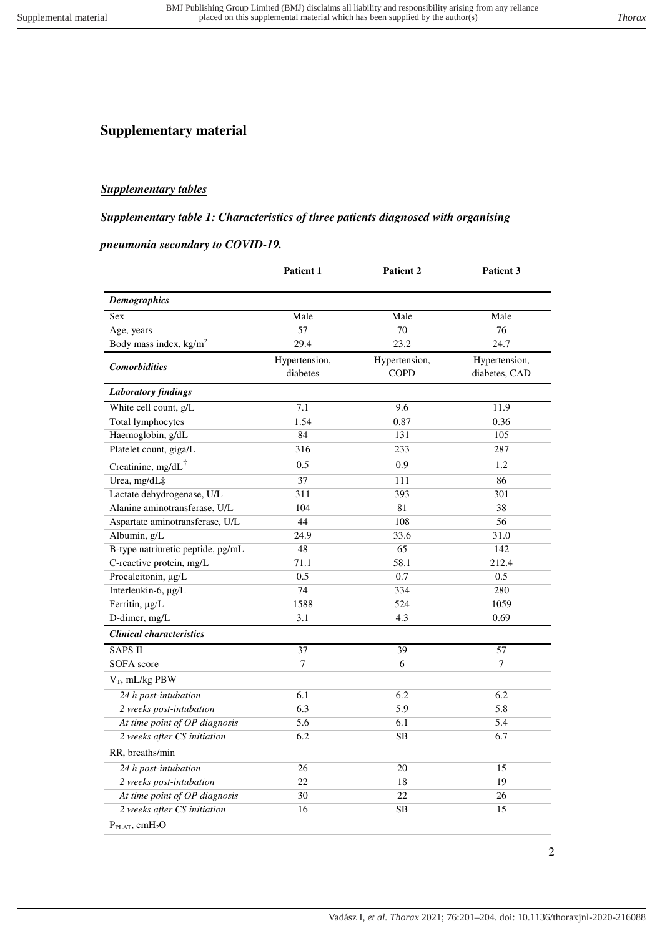# **Supplementary material**

### *Supplementary tables*

#### *Supplementary table 1: Characteristics of three patients diagnosed with organising*

#### *pneumonia secondary to COVID-19.*

|                                        | Patient 1                 | Patient 2                    | Patient 3                      |
|----------------------------------------|---------------------------|------------------------------|--------------------------------|
| <b>Demographics</b>                    |                           |                              |                                |
| <b>Sex</b>                             | Male                      | Male                         | Male                           |
| Age, years                             | 57                        | 70                           | 76                             |
| Body mass index, kg/m <sup>2</sup>     | 29.4                      | 23.2                         | 24.7                           |
| <b>Comorbidities</b>                   | Hypertension,<br>diabetes | Hypertension,<br><b>COPD</b> | Hypertension,<br>diabetes, CAD |
| <b>Laboratory findings</b>             |                           |                              |                                |
| White cell count, g/L                  | 7.1                       | 9.6                          | 11.9                           |
| Total lymphocytes                      | 1.54                      | 0.87                         | 0.36                           |
| Haemoglobin, g/dL                      | 84                        | 131                          | 105                            |
| Platelet count, giga/L                 | 316                       | 233                          | 287                            |
| Creatinine, mg/dL <sup>†</sup>         | 0.5                       | 0.9                          | 1.2                            |
| Urea, mg/dL‡                           | 37                        | 111                          | 86                             |
| Lactate dehydrogenase, U/L             | 311                       | 393                          | 301                            |
| Alanine aminotransferase, U/L          | 104                       | 81                           | 38                             |
| Aspartate aminotransferase, U/L        | 44                        | 108                          | 56                             |
| Albumin, g/L                           | 24.9                      | 33.6                         | 31.0                           |
| B-type natriuretic peptide, pg/mL      | 48                        | 65                           | 142                            |
| C-reactive protein, mg/L               | 71.1                      | 58.1                         | 212.4                          |
| Procalcitonin, µg/L                    | 0.5                       | 0.7                          | 0.5                            |
| Interleukin-6, µg/L                    | 74                        | 334                          | 280                            |
| Ferritin, µg/L                         | 1588                      | 524                          | 1059                           |
| D-dimer, mg/L                          | 3.1                       | 4.3                          | 0.69                           |
| <b>Clinical characteristics</b>        |                           |                              |                                |
| <b>SAPS II</b>                         | 37                        | 39                           | 57                             |
| <b>SOFA</b> score                      | $\tau$                    | 6                            | 7                              |
| $V_T$ , mL/kg PBW                      |                           |                              |                                |
| 24 h post-intubation                   | 6.1                       | 6.2                          | 6.2                            |
| 2 weeks post-intubation                | 6.3                       | 5.9                          | 5.8                            |
| At time point of OP diagnosis          | 5.6                       | 6.1                          | 5.4                            |
| 2 weeks after CS initiation            | 6.2                       | <b>SB</b>                    | 6.7                            |
| RR, breaths/min                        |                           |                              |                                |
| 24 h post-intubation                   | 26                        | 20                           | 15                             |
| 2 weeks post-intubation                | 22                        | 18                           | 19                             |
| At time point of OP diagnosis          | 30                        | 22                           | 26                             |
| 2 weeks after CS initiation            | 16                        | <b>SB</b>                    | 15                             |
| P <sub>PLAT</sub> , cmH <sub>2</sub> O |                           |                              |                                |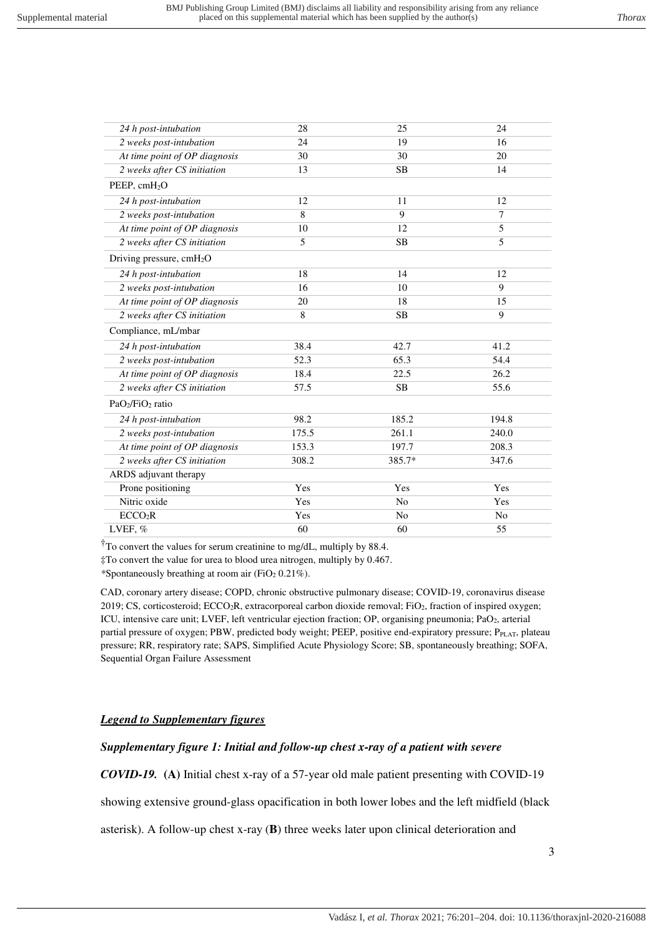| 24 h post-intubation                     | 28    | 25             | 24             |
|------------------------------------------|-------|----------------|----------------|
| 2 weeks post-intubation                  | 24    | 19             | 16             |
| At time point of OP diagnosis            | 30    | 30             | 20             |
| 2 weeks after CS initiation              | 13    | <b>SB</b>      | 14             |
| PEEP, $cmH2O$                            |       |                |                |
| 24 h post-intubation                     | 12    | 11             | 12             |
| 2 weeks post-intubation                  | 8     | 9              | $\tau$         |
| At time point of OP diagnosis            | 10    | 12             | 5              |
| 2 weeks after CS initiation              | 5     | SB             | 5              |
| Driving pressure, $cmH2O$                |       |                |                |
| 24 h post-intubation                     | 18    | 14             | 12             |
| 2 weeks post-intubation                  | 16    | 10             | 9              |
| At time point of OP diagnosis            | 20    | 18             | 15             |
| 2 weeks after CS initiation              | 8     | <b>SB</b>      | 9              |
| Compliance, mL/mbar                      |       |                |                |
| 24 h post-intubation                     | 38.4  | 42.7           | 41.2           |
| 2 weeks post-intubation                  | 52.3  | 65.3           | 54.4           |
| At time point of OP diagnosis            | 18.4  | 22.5           | 26.2           |
| 2 weeks after CS initiation              | 57.5  | <b>SB</b>      | 55.6           |
| PaO <sub>2</sub> /FiO <sub>2</sub> ratio |       |                |                |
| 24 h post-intubation                     | 98.2  | 185.2          | 194.8          |
| 2 weeks post-intubation                  | 175.5 | 261.1          | 240.0          |
| At time point of OP diagnosis            | 153.3 | 197.7          | 208.3          |
| 2 weeks after CS initiation              | 308.2 | 385.7*         | 347.6          |
| ARDS adjuvant therapy                    |       |                |                |
| Prone positioning                        | Yes   | Yes            | Yes            |
| Nitric oxide                             | Yes   | No             | Yes            |
| ECCO <sub>2</sub> R                      | Yes   | N <sub>o</sub> | N <sub>o</sub> |
| LVEF, %                                  | 60    | 60             | 55             |

†To convert the values for serum creatinine to mg/dL, multiply by 88.4.

‡To convert the value for urea to blood urea nitrogen, multiply by 0.467.

*\**Spontaneously breathing at room air (FiO<sup>2</sup> 0.21%).

CAD, coronary artery disease; COPD, chronic obstructive pulmonary disease; COVID-19, coronavirus disease 2019; CS, corticosteroid; ECCO<sub>2</sub>R, extracorporeal carbon dioxide removal; FiO<sub>2</sub>, fraction of inspired oxygen; ICU, intensive care unit; LVEF, left ventricular ejection fraction; OP, organising pneumonia; PaO<sub>2</sub>, arterial partial pressure of oxygen; PBW, predicted body weight; PEEP, positive end-expiratory pressure; PPLAT, plateau pressure; RR, respiratory rate; SAPS, Simplified Acute Physiology Score; SB, spontaneously breathing; SOFA, Sequential Organ Failure Assessment

## *Legend to Supplementary figures*

# *Supplementary figure 1: Initial and follow-up chest x-ray of a patient with severe*

*COVID-19.* **(A)** Initial chest x-ray of a 57-year old male patient presenting with COVID-19

showing extensive ground-glass opacification in both lower lobes and the left midfield (black

asterisk). A follow-up chest x-ray (**B**) three weeks later upon clinical deterioration and